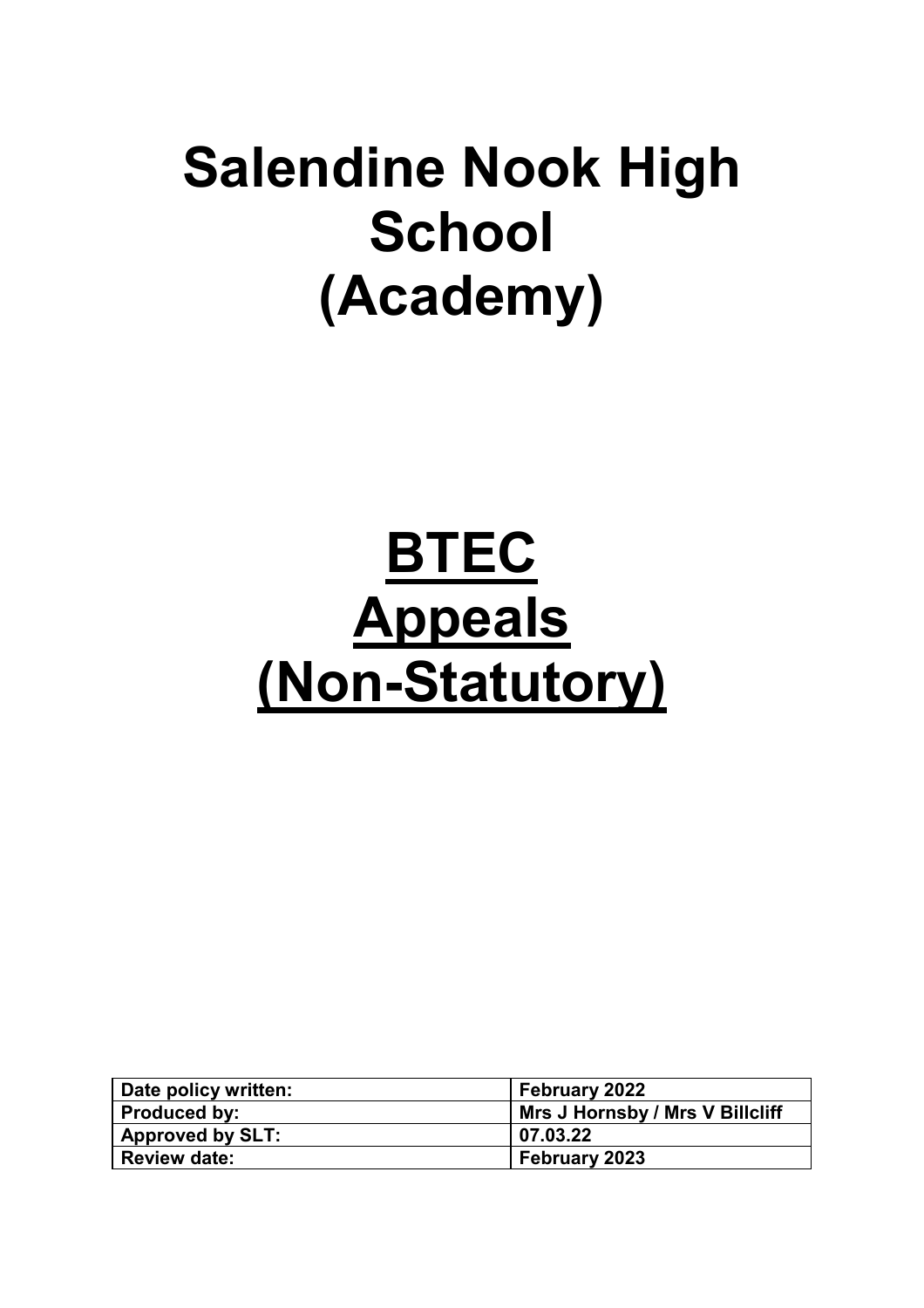## **Salendine Nook High School (Academy)**

# **BTEC Appeals (Non-Statutory)**

| Date policy written:    | <b>February 2022</b>            |
|-------------------------|---------------------------------|
| <b>Produced by:</b>     | Mrs J Hornsby / Mrs V Billcliff |
| <b>Approved by SLT:</b> | 07.03.22                        |
| <b>Review date:</b>     | February 2023                   |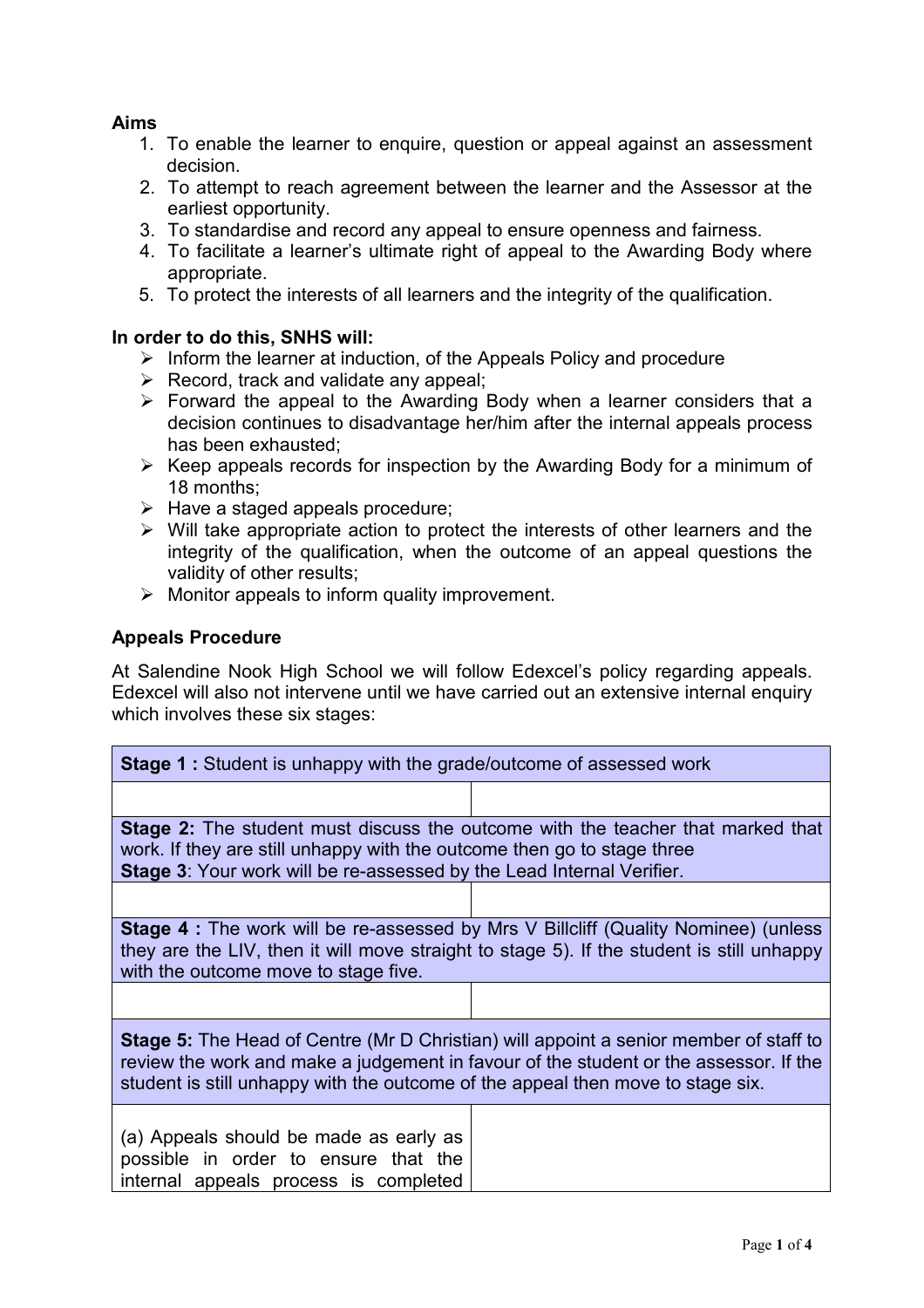#### **Aims**

- 1. To enable the learner to enquire, question or appeal against an assessment decision.
- 2. To attempt to reach agreement between the learner and the Assessor at the earliest opportunity.
- 3. To standardise and record any appeal to ensure openness and fairness.
- 4. To facilitate a learner's ultimate right of appeal to the Awarding Body where appropriate.
- 5. To protect the interests of all learners and the integrity of the qualification.

#### **In order to do this, SNHS will:**

- $\triangleright$  Inform the learner at induction, of the Appeals Policy and procedure
- $\triangleright$  Record, track and validate any appeal;
- Forward the appeal to the Awarding Body when a learner considers that a decision continues to disadvantage her/him after the internal appeals process has been exhausted;
- $\triangleright$  Keep appeals records for inspection by the Awarding Body for a minimum of 18 months;
- $\triangleright$  Have a staged appeals procedure;
- $\triangleright$  Will take appropriate action to protect the interests of other learners and the integrity of the qualification, when the outcome of an appeal questions the validity of other results;
- $\triangleright$  Monitor appeals to inform quality improvement.

#### **Appeals Procedure**

At Salendine Nook High School we will follow Edexcel's policy regarding appeals. Edexcel will also not intervene until we have carried out an extensive internal enquiry which involves these six stages:

| <b>Stage 1</b> : Student is unhappy with the grade/outcome of assessed work                                                                                                                                                                                              |  |  |
|--------------------------------------------------------------------------------------------------------------------------------------------------------------------------------------------------------------------------------------------------------------------------|--|--|
|                                                                                                                                                                                                                                                                          |  |  |
| <b>Stage 2:</b> The student must discuss the outcome with the teacher that marked that<br>work. If they are still unhappy with the outcome then go to stage three<br>Stage 3: Your work will be re-assessed by the Lead Internal Verifier.                               |  |  |
|                                                                                                                                                                                                                                                                          |  |  |
| <b>Stage 4</b> : The work will be re-assessed by Mrs V Billcliff (Quality Nominee) (unless<br>they are the LIV, then it will move straight to stage 5). If the student is still unhappy<br>with the outcome move to stage five.                                          |  |  |
|                                                                                                                                                                                                                                                                          |  |  |
| <b>Stage 5:</b> The Head of Centre (Mr D Christian) will appoint a senior member of staff to<br>review the work and make a judgement in favour of the student or the assessor. If the<br>student is still unhappy with the outcome of the appeal then move to stage six. |  |  |
| (a) Appeals should be made as early as<br>possible in order to ensure that the<br>internal appeals process is completed                                                                                                                                                  |  |  |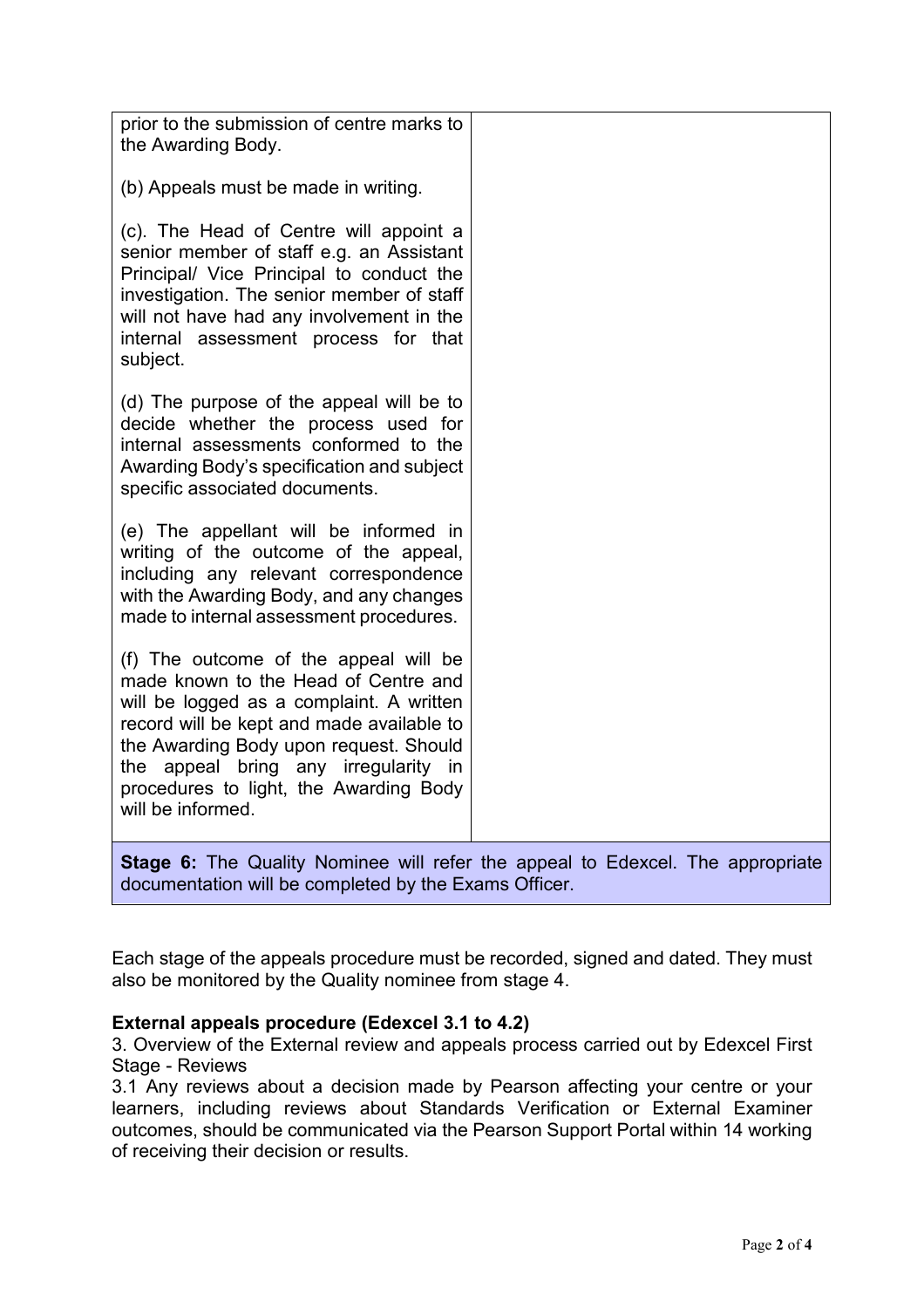| prior to the submission of centre marks to<br>the Awarding Body.                                                                                                                                                                                                                                                        |                                                                                |
|-------------------------------------------------------------------------------------------------------------------------------------------------------------------------------------------------------------------------------------------------------------------------------------------------------------------------|--------------------------------------------------------------------------------|
| (b) Appeals must be made in writing.                                                                                                                                                                                                                                                                                    |                                                                                |
| (c). The Head of Centre will appoint a<br>senior member of staff e.g. an Assistant<br>Principal/ Vice Principal to conduct the<br>investigation. The senior member of staff<br>will not have had any involvement in the<br>internal assessment process for that<br>subject.                                             |                                                                                |
| (d) The purpose of the appeal will be to<br>decide whether the process used for<br>internal assessments conformed to the<br>Awarding Body's specification and subject<br>specific associated documents.                                                                                                                 |                                                                                |
| (e) The appellant will be informed in<br>writing of the outcome of the appeal,<br>including any relevant correspondence<br>with the Awarding Body, and any changes<br>made to internal assessment procedures.                                                                                                           |                                                                                |
| (f) The outcome of the appeal will be<br>made known to the Head of Centre and<br>will be logged as a complaint. A written<br>record will be kept and made available to<br>the Awarding Body upon request. Should<br>the appeal bring any irregularity in<br>procedures to light, the Awarding Body<br>will be informed. |                                                                                |
|                                                                                                                                                                                                                                                                                                                         | Stage 6: The Quality Nominee will refer the appeal to Edexcel. The appropriate |

documentation will be completed by the Exams Officer.

Each stage of the appeals procedure must be recorded, signed and dated. They must also be monitored by the Quality nominee from stage 4.

### **External appeals procedure (Edexcel 3.1 to 4.2)**

3. Overview of the External review and appeals process carried out by Edexcel First Stage - Reviews

3.1 Any reviews about a decision made by Pearson affecting your centre or your learners, including reviews about Standards Verification or External Examiner outcomes, should be communicated via the Pearson Support Portal within 14 working of receiving their decision or results.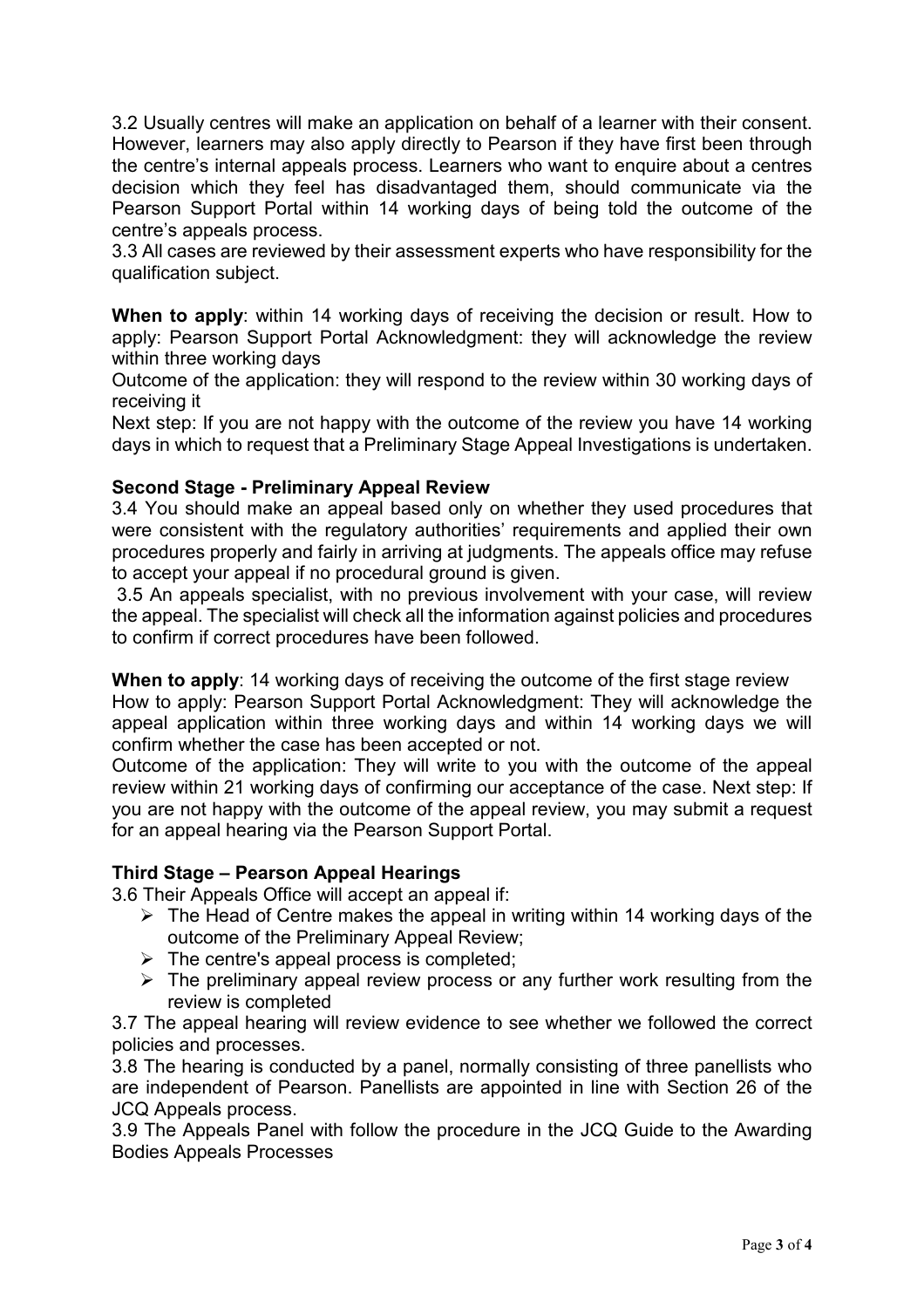3.2 Usually centres will make an application on behalf of a learner with their consent. However, learners may also apply directly to Pearson if they have first been through the centre's internal appeals process. Learners who want to enquire about a centres decision which they feel has disadvantaged them, should communicate via the Pearson Support Portal within 14 working days of being told the outcome of the centre's appeals process.

3.3 All cases are reviewed by their assessment experts who have responsibility for the qualification subject.

**When to apply**: within 14 working days of receiving the decision or result. How to apply: Pearson Support Portal Acknowledgment: they will acknowledge the review within three working days

Outcome of the application: they will respond to the review within 30 working days of receiving it

Next step: If you are not happy with the outcome of the review you have 14 working days in which to request that a Preliminary Stage Appeal Investigations is undertaken.

#### **Second Stage - Preliminary Appeal Review**

3.4 You should make an appeal based only on whether they used procedures that were consistent with the regulatory authorities' requirements and applied their own procedures properly and fairly in arriving at judgments. The appeals office may refuse to accept your appeal if no procedural ground is given.

3.5 An appeals specialist, with no previous involvement with your case, will review the appeal. The specialist will check all the information against policies and procedures to confirm if correct procedures have been followed.

**When to apply**: 14 working days of receiving the outcome of the first stage review

How to apply: Pearson Support Portal Acknowledgment: They will acknowledge the appeal application within three working days and within 14 working days we will confirm whether the case has been accepted or not.

Outcome of the application: They will write to you with the outcome of the appeal review within 21 working days of confirming our acceptance of the case. Next step: If you are not happy with the outcome of the appeal review, you may submit a request for an appeal hearing via the Pearson Support Portal.

#### **Third Stage – Pearson Appeal Hearings**

3.6 Their Appeals Office will accept an appeal if:

- $\triangleright$  The Head of Centre makes the appeal in writing within 14 working days of the outcome of the Preliminary Appeal Review;
- $\triangleright$  The centre's appeal process is completed;
- $\triangleright$  The preliminary appeal review process or any further work resulting from the review is completed

3.7 The appeal hearing will review evidence to see whether we followed the correct policies and processes.

3.8 The hearing is conducted by a panel, normally consisting of three panellists who are independent of Pearson. Panellists are appointed in line with Section 26 of the JCQ Appeals process.

3.9 The Appeals Panel with follow the procedure in the JCQ Guide to the Awarding Bodies Appeals Processes